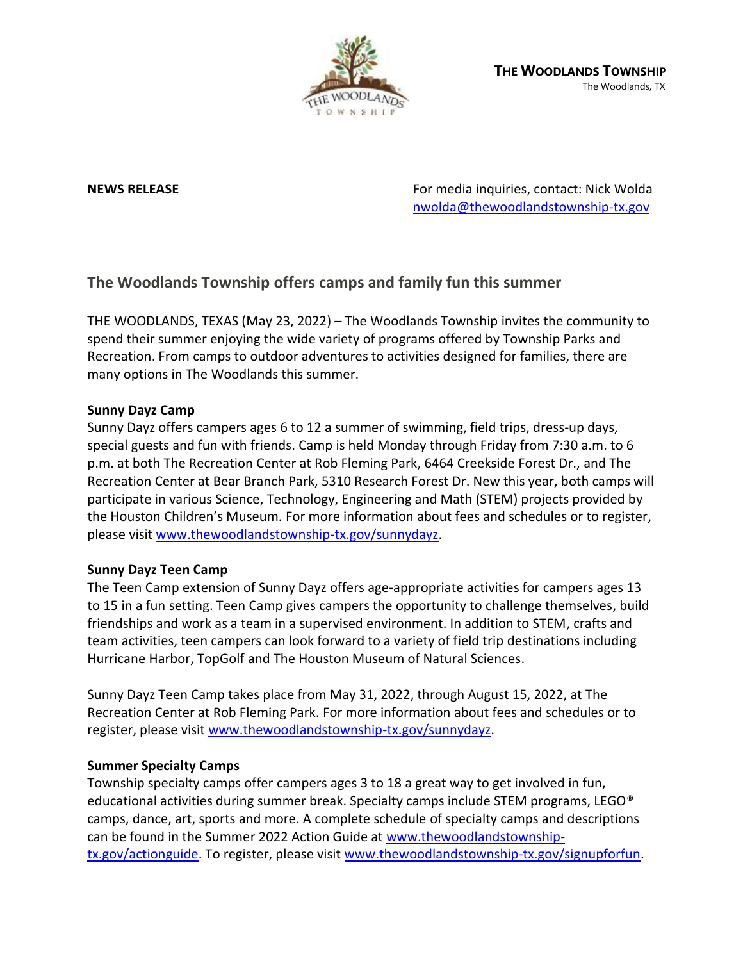

**NEWS RELEASE** For media inquiries, contact: Nick Wolda **NEWS** RELEASE [nwolda@thewoodlandstownship-tx.gov](mailto:nwolda@thewoodlandstownship-tx.gov)

# **The Woodlands Township offers camps and family fun this summer**

THE WOODLANDS, TEXAS (May 23, 2022) – The Woodlands Township invites the community to spend their summer enjoying the wide variety of programs offered by Township Parks and Recreation. From camps to outdoor adventures to activities designed for families, there are many options in The Woodlands this summer.

# **Sunny Dayz Camp**

Sunny Dayz offers campers ages 6 to 12 a summer of swimming, field trips, dress-up days, special guests and fun with friends. Camp is held Monday through Friday from 7:30 a.m. to 6 p.m. at both The Recreation Center at Rob Fleming Park, 6464 Creekside Forest Dr., and The Recreation Center at Bear Branch Park, 5310 Research Forest Dr. New this year, both camps will participate in various Science, Technology, Engineering and Math (STEM) projects provided by the Houston Children's Museum. For more information about fees and schedules or to register, please visit [www.thewoodlandstownship-tx.gov/sunnydayz.](http://www.thewoodlandstownship-tx.gov/sunnydayz)

# **Sunny Dayz Teen Camp**

The Teen Camp extension of Sunny Dayz offers age-appropriate activities for campers ages 13 to 15 in a fun setting. Teen Camp gives campers the opportunity to challenge themselves, build friendships and work as a team in a supervised environment. In addition to STEM, crafts and team activities, teen campers can look forward to a variety of field trip destinations including Hurricane Harbor, TopGolf and The Houston Museum of Natural Sciences.

Sunny Dayz Teen Camp takes place from May 31, 2022, through August 15, 2022, at The Recreation Center at Rob Fleming Park. For more information about fees and schedules or to register, please visit [www.thewoodlandstownship-tx.gov/sunnydayz.](http://www.thewoodlandstownship-tx.gov/sunnydayz)

### **Summer Specialty Camps**

Township specialty camps offer campers ages 3 to 18 a great way to get involved in fun, educational activities during summer break. Specialty camps include STEM programs, LEGO<sup>®</sup> camps, dance, art, sports and more. A complete schedule of specialty camps and descriptions can be found in the Summer 2022 Action Guide at [www.thewoodlandstownship](http://www.thewoodlandstownship-tx.gov/actionguide)[tx.gov/actionguide.](http://www.thewoodlandstownship-tx.gov/actionguide) To register, please visit [www.thewoodlandstownship-tx.gov/signupforfun.](http://www.thewoodlandstownship-tx.gov/signupforfun)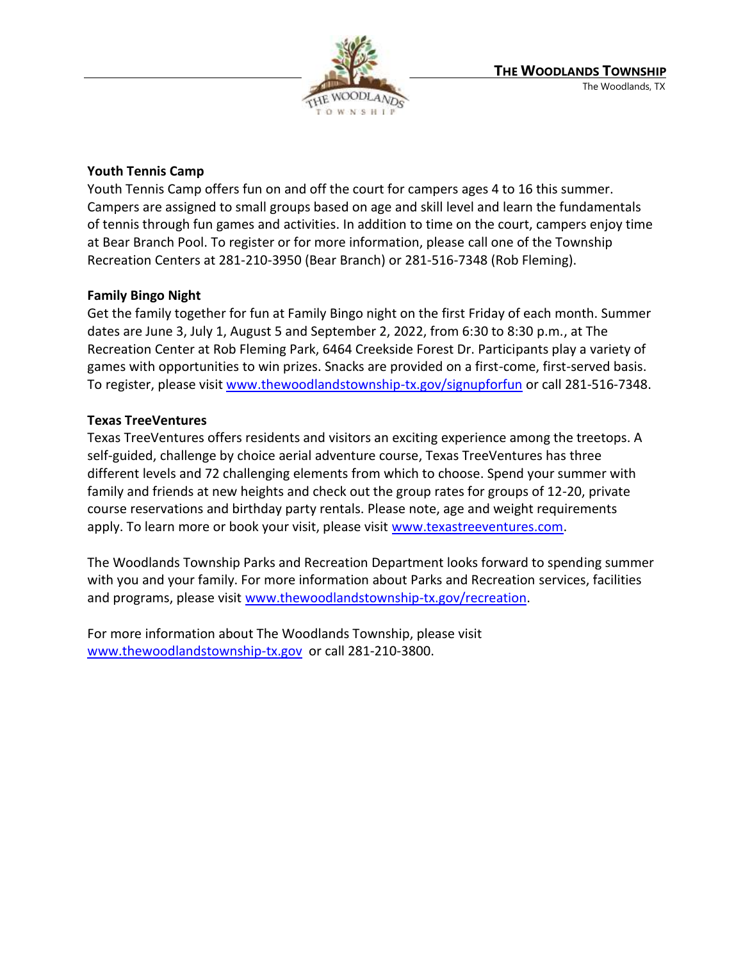

# **Youth Tennis Camp**

Youth Tennis Camp offers fun on and off the court for campers ages 4 to 16 this summer. Campers are assigned to small groups based on age and skill level and learn the fundamentals of tennis through fun games and activities. In addition to time on the court, campers enjoy time at Bear Branch Pool. To register or for more information, please call one of the Township Recreation Centers at 281-210-3950 (Bear Branch) or 281-516-7348 (Rob Fleming).

# **Family Bingo Night**

Get the family together for fun at Family Bingo night on the first Friday of each month. Summer dates are June 3, July 1, August 5 and September 2, 2022, from 6:30 to 8:30 p.m., at The Recreation Center at Rob Fleming Park, 6464 Creekside Forest Dr. Participants play a variety of games with opportunities to win prizes. Snacks are provided on a first-come, first-served basis. To register, please visit [www.thewoodlandstownship-tx.gov/signupforfun](http://www.thewoodlandstownship-tx.gov/signupforfun) or call 281-516-7348.

# **Texas TreeVentures**

Texas TreeVentures offers residents and visitors an exciting experience among the treetops. A self-guided, challenge by choice aerial adventure course, Texas TreeVentures has three different levels and 72 challenging elements from which to choose. Spend your summer with family and friends at new heights and check out the group rates for groups of 12-20, private course reservations and birthday party rentals. Please note, age and weight requirements apply. To learn more or book your visit, please visit [www.texastreeventures.com.](http://www.texastreeventures.com/)

The Woodlands Township Parks and Recreation Department looks forward to spending summer with you and your family. For more information about Parks and Recreation services, facilities and programs, please visit [www.thewoodlandstownship-tx.gov/recreation.](http://www.thewoodlandstownship-tx.gov/recreation)

For more information about The Woodlands Township, please visit [www.thewoodlandstownship-tx.gov](http://www.thewoodlandstownship-tx.gov/) or call 281-210-3800.